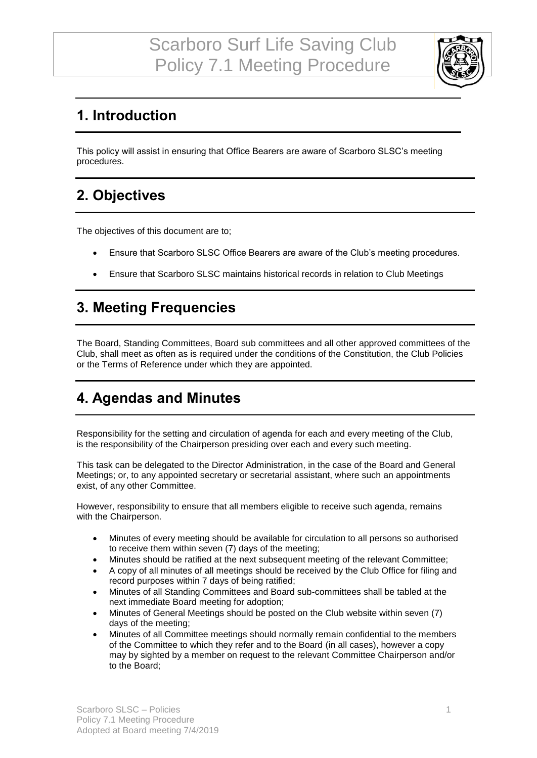

## **1. Introduction**

This policy will assist in ensuring that Office Bearers are aware of Scarboro SLSC's meeting procedures.

### **2. Objectives**

The objectives of this document are to;

- Ensure that Scarboro SLSC Office Bearers are aware of the Club's meeting procedures.
- Ensure that Scarboro SLSC maintains historical records in relation to Club Meetings

### **3. Meeting Frequencies**

The Board, Standing Committees, Board sub committees and all other approved committees of the Club, shall meet as often as is required under the conditions of the Constitution, the Club Policies or the Terms of Reference under which they are appointed.

#### **4. Agendas and Minutes**

Responsibility for the setting and circulation of agenda for each and every meeting of the Club, is the responsibility of the Chairperson presiding over each and every such meeting.

This task can be delegated to the Director Administration, in the case of the Board and General Meetings; or, to any appointed secretary or secretarial assistant, where such an appointments exist, of any other Committee.

However, responsibility to ensure that all members eligible to receive such agenda, remains with the Chairperson.

- Minutes of every meeting should be available for circulation to all persons so authorised to receive them within seven (7) days of the meeting;
- Minutes should be ratified at the next subsequent meeting of the relevant Committee;
- A copy of all minutes of all meetings should be received by the Club Office for filing and record purposes within 7 days of being ratified;
- Minutes of all Standing Committees and Board sub-committees shall be tabled at the next immediate Board meeting for adoption;
- Minutes of General Meetings should be posted on the Club website within seven (7) days of the meeting;
- Minutes of all Committee meetings should normally remain confidential to the members of the Committee to which they refer and to the Board (in all cases), however a copy may by sighted by a member on request to the relevant Committee Chairperson and/or to the Board;